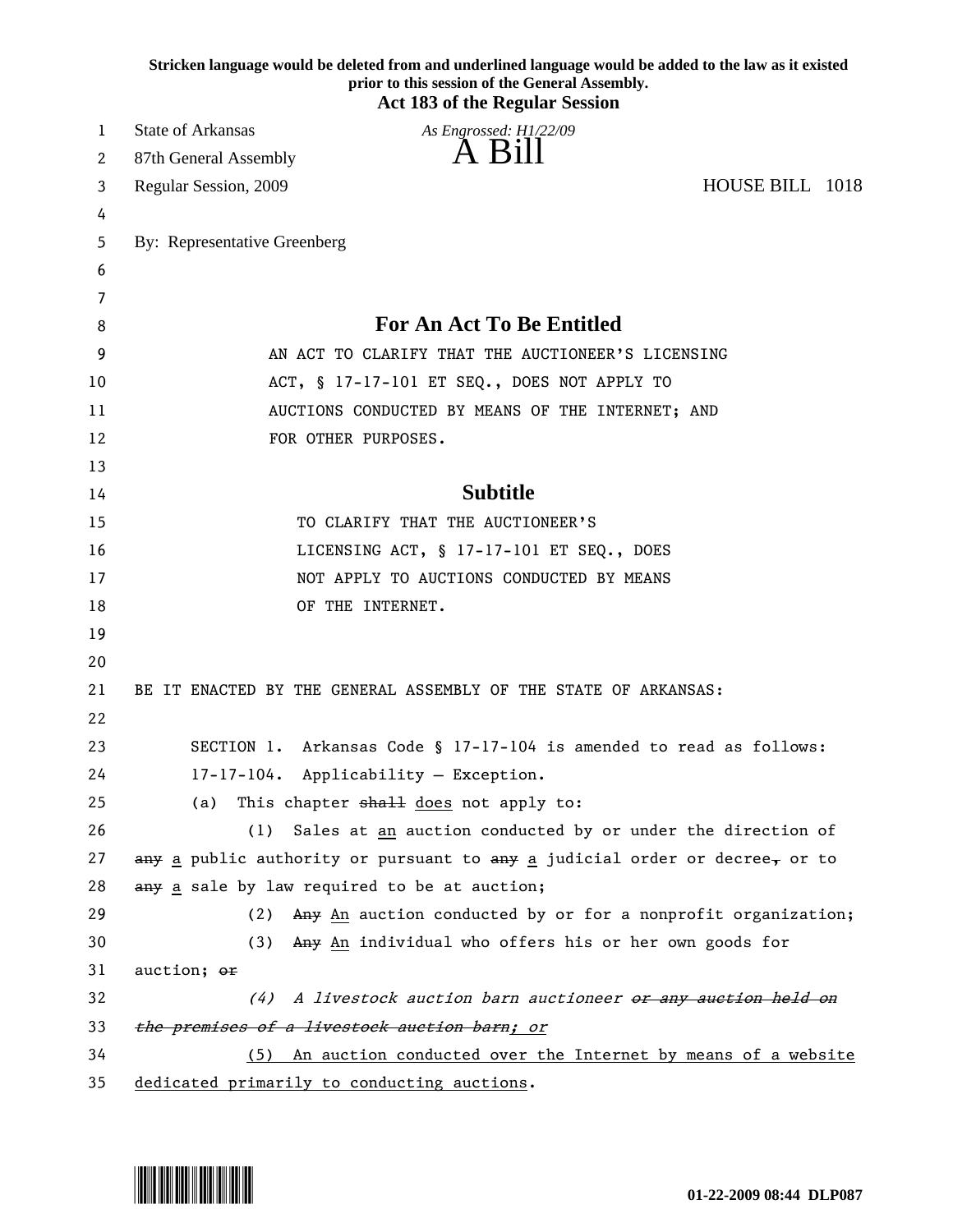|    | Stricken language would be deleted from and underlined language would be added to the law as it existed<br>prior to this session of the General Assembly.<br><b>Act 183 of the Regular Session</b> |
|----|----------------------------------------------------------------------------------------------------------------------------------------------------------------------------------------------------|
| 1  | <b>State of Arkansas</b><br>As Engrossed: H1/22/09                                                                                                                                                 |
| 2  | A Bill<br>87th General Assembly                                                                                                                                                                    |
| 3  | HOUSE BILL 1018<br>Regular Session, 2009                                                                                                                                                           |
| 4  |                                                                                                                                                                                                    |
| 5  | By: Representative Greenberg                                                                                                                                                                       |
| 6  |                                                                                                                                                                                                    |
| 7  |                                                                                                                                                                                                    |
| 8  | <b>For An Act To Be Entitled</b>                                                                                                                                                                   |
| 9  | AN ACT TO CLARIFY THAT THE AUCTIONEER'S LICENSING                                                                                                                                                  |
| 10 | ACT, § 17-17-101 ET SEQ., DOES NOT APPLY TO                                                                                                                                                        |
| 11 | AUCTIONS CONDUCTED BY MEANS OF THE INTERNET; AND                                                                                                                                                   |
| 12 | FOR OTHER PURPOSES.                                                                                                                                                                                |
| 13 |                                                                                                                                                                                                    |
| 14 | <b>Subtitle</b>                                                                                                                                                                                    |
| 15 | TO CLARIFY THAT THE AUCTIONEER'S                                                                                                                                                                   |
| 16 | LICENSING ACT, § 17-17-101 ET SEQ., DOES                                                                                                                                                           |
| 17 | NOT APPLY TO AUCTIONS CONDUCTED BY MEANS                                                                                                                                                           |
| 18 | OF THE INTERNET.                                                                                                                                                                                   |
| 19 |                                                                                                                                                                                                    |
| 20 |                                                                                                                                                                                                    |
| 21 | BE IT ENACTED BY THE GENERAL ASSEMBLY OF THE STATE OF ARKANSAS:                                                                                                                                    |
| 22 |                                                                                                                                                                                                    |
| 23 | SECTION 1. Arkansas Code § 17-17-104 is amended to read as follows:                                                                                                                                |
| 24 | 17-17-104. Applicability - Exception.                                                                                                                                                              |
| 25 | This chapter shall does not apply to:<br>(a)                                                                                                                                                       |
| 26 | Sales at an auction conducted by or under the direction of<br>(1)                                                                                                                                  |
| 27 | any a public authority or pursuant to any a judicial order or decree, or to                                                                                                                        |
| 28 | any a sale by law required to be at auction;                                                                                                                                                       |
| 29 | Any An auction conducted by or for a nonprofit organization;<br>(2)                                                                                                                                |
| 30 | (3) Any An individual who offers his or her own goods for                                                                                                                                          |
| 31 | auction; or                                                                                                                                                                                        |
| 32 | A livestock auction barn auctioneer or any auction held on<br>(4)                                                                                                                                  |
| 33 | the premises of a livestock auction barn; or                                                                                                                                                       |
| 34 | (5) An auction conducted over the Internet by means of a website                                                                                                                                   |
| 35 | dedicated primarily to conducting auctions.                                                                                                                                                        |